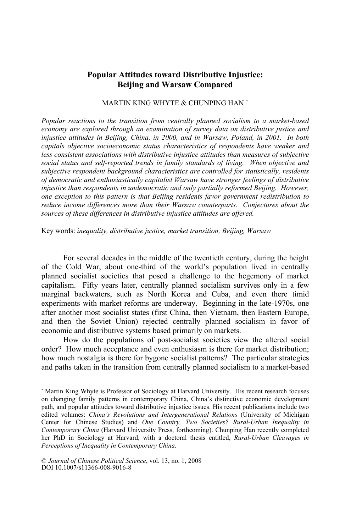# **Popular Attitudes toward Distributive Injustice: Beijing and Warsaw Compared**

# MARTIN KING WHYTE & CHUNPING HAN <sup>∗</sup>

*Popular reactions to the transition from centrally planned socialism to a market-based economy are explored through an examination of survey data on distributive justice and injustice attitudes in Beijing, China, in 2000, and in Warsaw, Poland, in 2001. In both capitals objective socioeconomic status characteristics of respondents have weaker and less consistent associations with distributive injustice attitudes than measures of subjective social status and self-reported trends in family standards of living. When objective and subjective respondent background characteristics are controlled for statistically, residents of democratic and enthusiastically capitalist Warsaw have stronger feelings of distributive injustice than respondents in undemocratic and only partially reformed Beijing. However, one exception to this pattern is that Beijing residents favor government redistribution to reduce income differences more than their Warsaw counterparts. Conjectures about the sources of these differences in distributive injustice attitudes are offered.* 

Key words: *inequality, distributive justice, market transition, Beijing, Warsaw*

For several decades in the middle of the twentieth century, during the height of the Cold War, about one-third of the world's population lived in centrally planned socialist societies that posed a challenge to the hegemony of market capitalism. Fifty years later, centrally planned socialism survives only in a few marginal backwaters, such as North Korea and Cuba, and even there timid experiments with market reforms are underway. Beginning in the late-1970s, one after another most socialist states (first China, then Vietnam, then Eastern Europe, and then the Soviet Union) rejected centrally planned socialism in favor of economic and distributive systems based primarily on markets.

 How do the populations of post-socialist societies view the altered social order? How much acceptance and even enthusiasm is there for market distribution; how much nostalgia is there for bygone socialist patterns? The particular strategies and paths taken in the transition from centrally planned socialism to a market-based

-

<sup>∗</sup> Martin King Whyte is Professor of Sociology at Harvard University. His recent research focuses on changing family patterns in contemporary China, China's distinctive economic development path, and popular attitudes toward distributive injustice issues. His recent publications include two edited volumes: *China's Revolutions and Intergenerational Relations* (University of Michigan Center for Chinese Studies) and *One Country, Two Societies? Rural-Urban Inequality in Contemporary China* (Harvard University Press, forthcoming). Chunping Han recently completed her PhD in Sociology at Harvard, with a doctoral thesis entitled, *Rural-Urban Cleavages in Perceptions of Inequality in Contemporary China*.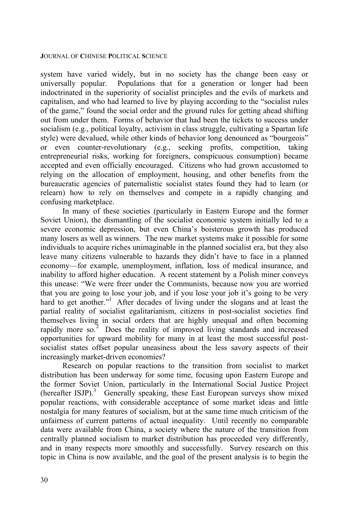system have varied widely, but in no society has the change been easy or universally popular. Populations that for a generation or longer had been indoctrinated in the superiority of socialist principles and the evils of markets and capitalism, and who had learned to live by playing according to the "socialist rules of the game," found the social order and the ground rules for getting ahead shifting out from under them. Forms of behavior that had been the tickets to success under socialism (e.g., political loyalty, activism in class struggle, cultivating a Spartan life style) were devalued, while other kinds of behavior long denounced as "bourgeois" or even counter-revolutionary (e.g., seeking profits, competition, taking entrepreneurial risks, working for foreigners, conspicuous consumption) became accepted and even officially encouraged. Citizens who had grown accustomed to relying on the allocation of employment, housing, and other benefits from the bureaucratic agencies of paternalistic socialist states found they had to learn (or relearn) how to rely on themselves and compete in a rapidly changing and confusing marketplace.

In many of these societies (particularly in Eastern Europe and the former Soviet Union), the dismantling of the socialist economic system initially led to a severe economic depression, but even China's boisterous growth has produced many losers as well as winners. The new market systems make it possible for some individuals to acquire riches unimaginable in the planned socialist era, but they also leave many citizens vulnerable to hazards they didn't have to face in a planned economy—for example, unemployment, inflation, loss of medical insurance, and inability to afford higher education. A recent statement by a Polish miner conveys this unease: "We were freer under the Communists, because now you are worried that you are going to lose your job, and if you lose your job it's going to be very hard to get another."<sup>1</sup> After decades of living under the slogans and at least the partial reality of socialist egalitarianism, citizens in post-socialist societies find themselves living in social orders that are highly unequal and often becoming rapidly more so.<sup>2</sup> Does the reality of improved living standards and increased opportunities for upward mobility for many in at least the most successful postsocialist states offset popular uneasiness about the less savory aspects of their increasingly market-driven economies?

Research on popular reactions to the transition from socialist to market distribution has been underway for some time, focusing upon Eastern Europe and the former Soviet Union, particularly in the International Social Justice Project (hereafter ISJP). $3$  Generally speaking, these East European surveys show mixed popular reactions, with considerable acceptance of some market ideas and little nostalgia for many features of socialism, but at the same time much criticism of the unfairness of current patterns of actual inequality. Until recently no comparable data were available from China, a society where the nature of the transition from centrally planned socialism to market distribution has proceeded very differently, and in many respects more smoothly and successfully. Survey research on this topic in China is now available, and the goal of the present analysis is to begin the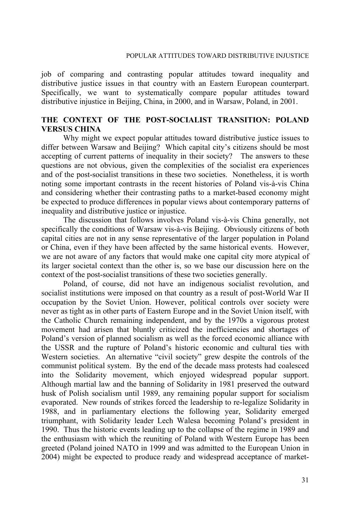job of comparing and contrasting popular attitudes toward inequality and distributive justice issues in that country with an Eastern European counterpart. Specifically, we want to systematically compare popular attitudes toward distributive injustice in Beijing, China, in 2000, and in Warsaw, Poland, in 2001.

# **THE CONTEXT OF THE POST-SOCIALIST TRANSITION: POLAND VERSUS CHINA**

Why might we expect popular attitudes toward distributive justice issues to differ between Warsaw and Beijing? Which capital city's citizens should be most accepting of current patterns of inequality in their society? The answers to these questions are not obvious, given the complexities of the socialist era experiences and of the post-socialist transitions in these two societies. Nonetheless, it is worth noting some important contrasts in the recent histories of Poland vis-à-vis China and considering whether their contrasting paths to a market-based economy might be expected to produce differences in popular views about contemporary patterns of inequality and distributive justice or injustice.

The discussion that follows involves Poland vis-à-vis China generally, not specifically the conditions of Warsaw vis-à-vis Beijing. Obviously citizens of both capital cities are not in any sense representative of the larger population in Poland or China, even if they have been affected by the same historical events. However, we are not aware of any factors that would make one capital city more atypical of its larger societal context than the other is, so we base our discussion here on the context of the post-socialist transitions of these two societies generally.

Poland, of course, did not have an indigenous socialist revolution, and socialist institutions were imposed on that country as a result of post-World War II occupation by the Soviet Union. However, political controls over society were never as tight as in other parts of Eastern Europe and in the Soviet Union itself, with the Catholic Church remaining independent, and by the 1970s a vigorous protest movement had arisen that bluntly criticized the inefficiencies and shortages of Poland's version of planned socialism as well as the forced economic alliance with the USSR and the rupture of Poland's historic economic and cultural ties with Western societies. An alternative "civil society" grew despite the controls of the communist political system. By the end of the decade mass protests had coalesced into the Solidarity movement, which enjoyed widespread popular support. Although martial law and the banning of Solidarity in 1981 preserved the outward husk of Polish socialism until 1989, any remaining popular support for socialism evaporated. New rounds of strikes forced the leadership to re-legalize Solidarity in 1988, and in parliamentary elections the following year, Solidarity emerged triumphant, with Solidarity leader Lech Walesa becoming Poland's president in 1990. Thus the historic events leading up to the collapse of the regime in 1989 and the enthusiasm with which the reuniting of Poland with Western Europe has been greeted (Poland joined NATO in 1999 and was admitted to the European Union in 2004) might be expected to produce ready and widespread acceptance of market-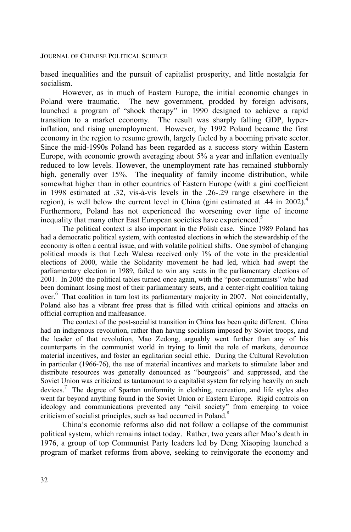based inequalities and the pursuit of capitalist prosperity, and little nostalgia for socialism.

However, as in much of Eastern Europe, the initial economic changes in Poland were traumatic. The new government, prodded by foreign advisors, launched a program of "shock therapy" in 1990 designed to achieve a rapid transition to a market economy. The result was sharply falling GDP, hyperinflation, and rising unemployment. However, by 1992 Poland became the first economy in the region to resume growth, largely fueled by a booming private sector. Since the mid-1990s Poland has been regarded as a success story within Eastern Europe, with economic growth averaging about 5% a year and inflation eventually reduced to low levels. However, the unemployment rate has remained stubbornly high, generally over 15%. The inequality of family income distribution, while somewhat higher than in other countries of Eastern Europe (with a gini coefficient in 1998 estimated at .32, vis-à-vis levels in the .26-.29 range elsewhere in the region), is well below the current level in China (gini estimated at .44 in 2002).<sup>4</sup> Furthermore, Poland has not experienced the worsening over time of income inequality that many other East European societies have experienced.<sup>5</sup>

The political context is also important in the Polish case. Since 1989 Poland has had a democratic political system, with contested elections in which the stewardship of the economy is often a central issue, and with volatile political shifts. One symbol of changing political moods is that Lech Walesa received only 1% of the vote in the presidential elections of 2000, while the Solidarity movement he had led, which had swept the parliamentary election in 1989, failed to win any seats in the parliamentary elections of 2001. In 2005 the political tables turned once again, with the "post-communists" who had been dominant losing most of their parliamentary seats, and a center-right coalition taking over.<sup>6</sup> That coalition in turn lost its parliamentary majority in 2007. Not coincidentally, Poland also has a vibrant free press that is filled with critical opinions and attacks on official corruption and malfeasance.

The context of the post-socialist transition in China has been quite different. China had an indigenous revolution, rather than having socialism imposed by Soviet troops, and the leader of that revolution, Mao Zedong, arguably went further than any of his counterparts in the communist world in trying to limit the role of markets, denounce material incentives, and foster an egalitarian social ethic. During the Cultural Revolution in particular (1966-76), the use of material incentives and markets to stimulate labor and distribute resources was generally denounced as "bourgeois" and suppressed, and the Soviet Union was criticized as tantamount to a capitalist system for relying heavily on such devices.<sup>7</sup> The degree of Spartan uniformity in clothing, recreation, and life styles also went far beyond anything found in the Soviet Union or Eastern Europe. Rigid controls on ideology and communications prevented any "civil society" from emerging to voice criticism of socialist principles, such as had occurred in Poland.<sup>8</sup>

China's economic reforms also did not follow a collapse of the communist political system, which remains intact today. Rather, two years after Mao's death in 1976, a group of top Communist Party leaders led by Deng Xiaoping launched a program of market reforms from above, seeking to reinvigorate the economy and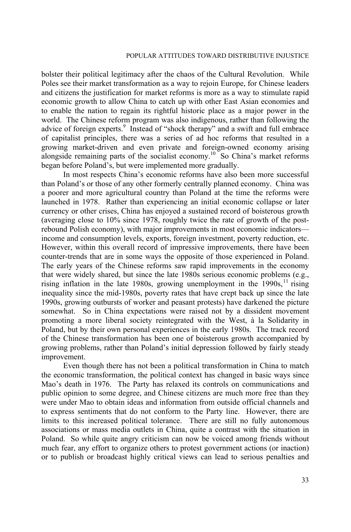bolster their political legitimacy after the chaos of the Cultural Revolution. While Poles see their market transformation as a way to rejoin Europe, for Chinese leaders and citizens the justification for market reforms is more as a way to stimulate rapid economic growth to allow China to catch up with other East Asian economies and to enable the nation to regain its rightful historic place as a major power in the world. The Chinese reform program was also indigenous, rather than following the advice of foreign experts.<sup>9</sup> Instead of "shock therapy" and a swift and full embrace of capitalist principles, there was a series of ad hoc reforms that resulted in a growing market-driven and even private and foreign-owned economy arising alongside remaining parts of the socialist economy.<sup>10</sup> So China's market reforms began before Poland's, but were implemented more gradually.

In most respects China's economic reforms have also been more successful than Poland's or those of any other formerly centrally planned economy. China was a poorer and more agricultural country than Poland at the time the reforms were launched in 1978. Rather than experiencing an initial economic collapse or later currency or other crises, China has enjoyed a sustained record of boisterous growth (averaging close to 10% since 1978, roughly twice the rate of growth of the postrebound Polish economy), with major improvements in most economic indicators income and consumption levels, exports, foreign investment, poverty reduction, etc. However, within this overall record of impressive improvements, there have been counter-trends that are in some ways the opposite of those experienced in Poland. The early years of the Chinese reforms saw rapid improvements in the economy that were widely shared, but since the late 1980s serious economic problems (e.g., rising inflation in the late 1980s, growing unemployment in the  $1990s$ ,  $\frac{11}{11}$  rising inequality since the mid-1980s, poverty rates that have crept back up since the late 1990s, growing outbursts of worker and peasant protests) have darkened the picture somewhat. So in China expectations were raised not by a dissident movement promoting a more liberal society reintegrated with the West, à la Solidarity in Poland, but by their own personal experiences in the early 1980s. The track record of the Chinese transformation has been one of boisterous growth accompanied by growing problems, rather than Poland's initial depression followed by fairly steady improvement.

Even though there has not been a political transformation in China to match the economic transformation, the political context has changed in basic ways since Mao's death in 1976. The Party has relaxed its controls on communications and public opinion to some degree, and Chinese citizens are much more free than they were under Mao to obtain ideas and information from outside official channels and to express sentiments that do not conform to the Party line. However, there are limits to this increased political tolerance. There are still no fully autonomous associations or mass media outlets in China, quite a contrast with the situation in Poland. So while quite angry criticism can now be voiced among friends without much fear, any effort to organize others to protest government actions (or inaction) or to publish or broadcast highly critical views can lead to serious penalties and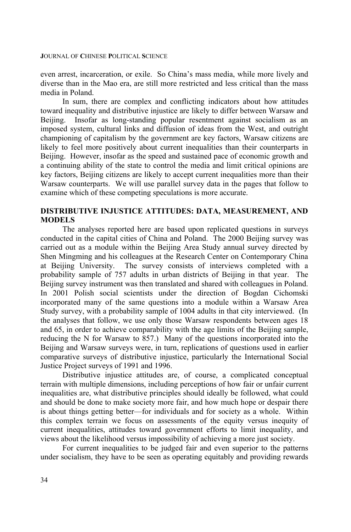even arrest, incarceration, or exile. So China's mass media, while more lively and diverse than in the Mao era, are still more restricted and less critical than the mass media in Poland.

In sum, there are complex and conflicting indicators about how attitudes toward inequality and distributive injustice are likely to differ between Warsaw and Beijing. Insofar as long-standing popular resentment against socialism as an imposed system, cultural links and diffusion of ideas from the West, and outright championing of capitalism by the government are key factors, Warsaw citizens are likely to feel more positively about current inequalities than their counterparts in Beijing. However, insofar as the speed and sustained pace of economic growth and a continuing ability of the state to control the media and limit critical opinions are key factors, Beijing citizens are likely to accept current inequalities more than their Warsaw counterparts. We will use parallel survey data in the pages that follow to examine which of these competing speculations is more accurate.

# **DISTRIBUTIVE INJUSTICE ATTITUDES: DATA, MEASUREMENT, AND MODELS**

The analyses reported here are based upon replicated questions in surveys conducted in the capital cities of China and Poland. The 2000 Beijing survey was carried out as a module within the Beijing Area Study annual survey directed by Shen Mingming and his colleagues at the Research Center on Contemporary China at Beijing University. The survey consists of interviews completed with a probability sample of 757 adults in urban districts of Beijing in that year. The Beijing survey instrument was then translated and shared with colleagues in Poland. In 2001 Polish social scientists under the direction of Bogdan Cichomski incorporated many of the same questions into a module within a Warsaw Area Study survey, with a probability sample of 1004 adults in that city interviewed. (In the analyses that follow, we use only those Warsaw respondents between ages 18 and 65, in order to achieve comparability with the age limits of the Beijing sample, reducing the N for Warsaw to 857.) Many of the questions incorporated into the Beijing and Warsaw surveys were, in turn, replications of questions used in earlier comparative surveys of distributive injustice, particularly the International Social Justice Project surveys of 1991 and 1996.

Distributive injustice attitudes are, of course, a complicated conceptual terrain with multiple dimensions, including perceptions of how fair or unfair current inequalities are, what distributive principles should ideally be followed, what could and should be done to make society more fair, and how much hope or despair there is about things getting better—for individuals and for society as a whole. Within this complex terrain we focus on assessments of the equity versus inequity of current inequalities, attitudes toward government efforts to limit inequality, and views about the likelihood versus impossibility of achieving a more just society.

For current inequalities to be judged fair and even superior to the patterns under socialism, they have to be seen as operating equitably and providing rewards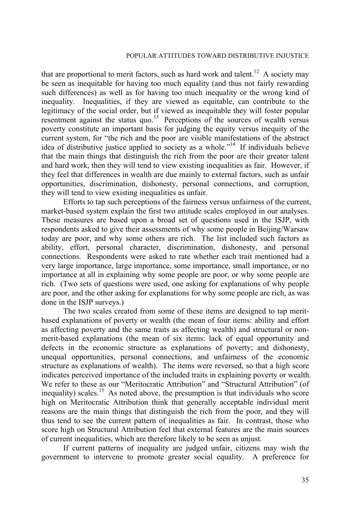that are proportional to merit factors, such as hard work and talent.<sup>12</sup> A society may be seen as inequitable for having too much equality (and thus not fairly rewarding such differences) as well as for having too much inequality or the wrong kind of inequality. Inequalities, if they are viewed as equitable, can contribute to the legitimacy of the social order, but if viewed as inequitable they will foster popular resentment against the status quo.<sup>13</sup> Perceptions of the sources of wealth versus resentment against the status quo.<sup>13</sup> poverty constitute an important basis for judging the equity versus inequity of the current system, for "the rich and the poor are visible manifestations of the abstract idea of distributive justice applied to society as a whole."<sup>14</sup> If individuals believe that the main things that distinguish the rich from the poor are their greater talent and hard work, then they will tend to view existing inequalities as fair. However, if they feel that differences in wealth are due mainly to external factors, such as unfair opportunities, discrimination, dishonesty, personal connections, and corruption, they will tend to view existing inequalities as unfair.

Efforts to tap such perceptions of the fairness versus unfairness of the current, market-based system explain the first two attitude scales employed in our analyses. These measures are based upon a broad set of questions used in the ISJP, with respondents asked to give their assessments of why some people in Beijing/Warsaw today are poor, and why some others are rich. The list included such factors as ability, effort, personal character, discrimination, dishonesty, and personal connections. Respondents were asked to rate whether each trait mentioned had a very large importance, large importance, some importance, small importance, or no importance at all in explaining why some people are poor, or why some people are rich. (Two sets of questions were used, one asking for explanations of why people are poor, and the other asking for explanations for why some people are rich, as was done in the ISJP surveys.)

The two scales created from some of these items are designed to tap meritbased explanations of poverty or wealth (the mean of four items: ability and effort as affecting poverty and the same traits as affecting wealth) and structural or nonmerit-based explanations (the mean of six items: lack of equal opportunity and defects in the economic structure as explanations of poverty; and dishonesty, unequal opportunities, personal connections, and unfairness of the economic structure as explanations of wealth). The items were reversed, so that a high score indicates perceived importance of the included traits in explaining poverty or wealth. We refer to these as our "Meritocratic Attribution" and "Structural Attribution" (of inequality) scales.<sup>15</sup> As noted above, the presumption is that individuals who score high on Meritocratic Attribution think that generally acceptable individual merit reasons are the main things that distinguish the rich from the poor, and they will thus tend to see the current pattern of inequalities as fair. In contrast, those who score high on Structural Attribution feel that external features are the main sources of current inequalities, which are therefore likely to be seen as unjust.

If current patterns of inequality are judged unfair, citizens may wish the government to intervene to promote greater social equality. A preference for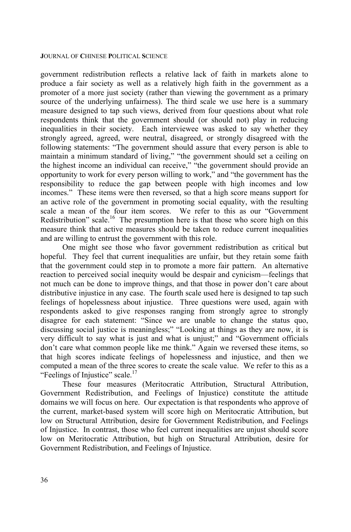government redistribution reflects a relative lack of faith in markets alone to produce a fair society as well as a relatively high faith in the government as a promoter of a more just society (rather than viewing the government as a primary source of the underlying unfairness). The third scale we use here is a summary measure designed to tap such views, derived from four questions about what role respondents think that the government should (or should not) play in reducing inequalities in their society. Each interviewee was asked to say whether they strongly agreed, agreed, were neutral, disagreed, or strongly disagreed with the following statements: "The government should assure that every person is able to maintain a minimum standard of living," "the government should set a ceiling on the highest income an individual can receive," "the government should provide an opportunity to work for every person willing to work," and "the government has the responsibility to reduce the gap between people with high incomes and low incomes." These items were then reversed, so that a high score means support for an active role of the government in promoting social equality, with the resulting scale a mean of the four item scores. We refer to this as our "Government Redistribution" scale.<sup>16</sup> The presumption here is that those who score high on this measure think that active measures should be taken to reduce current inequalities and are willing to entrust the government with this role.

One might see those who favor government redistribution as critical but hopeful. They feel that current inequalities are unfair, but they retain some faith that the government could step in to promote a more fair pattern. An alternative reaction to perceived social inequity would be despair and cynicism—feelings that not much can be done to improve things, and that those in power don't care about distributive injustice in any case. The fourth scale used here is designed to tap such feelings of hopelessness about injustice. Three questions were used, again with respondents asked to give responses ranging from strongly agree to strongly disagree for each statement: "Since we are unable to change the status quo, discussing social justice is meaningless;" "Looking at things as they are now, it is very difficult to say what is just and what is unjust;" and "Government officials don't care what common people like me think." Again we reversed these items, so that high scores indicate feelings of hopelessness and injustice, and then we computed a mean of the three scores to create the scale value. We refer to this as a "Feelings of Injustice" scale.<sup>17</sup>

These four measures (Meritocratic Attribution, Structural Attribution, Government Redistribution, and Feelings of Injustice) constitute the attitude domains we will focus on here. Our expectation is that respondents who approve of the current, market-based system will score high on Meritocratic Attribution, but low on Structural Attribution, desire for Government Redistribution, and Feelings of Injustice. In contrast, those who feel current inequalities are unjust should score low on Meritocratic Attribution, but high on Structural Attribution, desire for Government Redistribution, and Feelings of Injustice.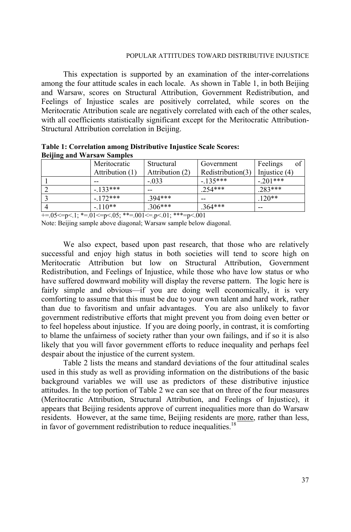This expectation is supported by an examination of the inter-correlations among the four attitude scales in each locale. As shown in Table 1, in both Beijing and Warsaw, scores on Structural Attribution, Government Redistribution, and Feelings of Injustice scales are positively correlated, while scores on the Meritocratic Attribution scale are negatively correlated with each of the other scales, with all coefficients statistically significant except for the Meritocratic Attribution-Structural Attribution correlation in Beijing.

| Dering and warsaw samples |                 |                 |                   |                 |
|---------------------------|-----------------|-----------------|-------------------|-----------------|
|                           | Meritocratic    | Structural      | Government        | of<br>Feelings  |
|                           | Attribution (1) | Attribution (2) | Redistribution(3) | Injustice $(4)$ |
|                           | --              | $-.033$         | $-135***$         | $-201***$       |
|                           | $-133***$       | $- -$           | 254***            | $.283***$       |
|                           | $-172***$       | $394***$        | $- -$             | $120**$         |
|                           | $-110**$        | $306***$        | $.364***$         | $- -$           |

**Table 1: Correlation among Distributive Injustice Scale Scores: Beijing and Warsaw Samples** 

 $+ = .05 \le p \le 1;$  \*=.01 $\le p \le .05;$  \*\*=.001 $\le p \le .01;$  \*\*\*=p $\le 0.01$ 

Note: Beijing sample above diagonal; Warsaw sample below diagonal.

We also expect, based upon past research, that those who are relatively successful and enjoy high status in both societies will tend to score high on Meritocratic Attribution but low on Structural Attribution, Government Redistribution, and Feelings of Injustice, while those who have low status or who have suffered downward mobility will display the reverse pattern. The logic here is fairly simple and obvious—if you are doing well economically, it is very comforting to assume that this must be due to your own talent and hard work, rather than due to favoritism and unfair advantages. You are also unlikely to favor government redistributive efforts that might prevent you from doing even better or to feel hopeless about injustice. If you are doing poorly, in contrast, it is comforting to blame the unfairness of society rather than your own failings, and if so it is also likely that you will favor government efforts to reduce inequality and perhaps feel despair about the injustice of the current system.

Table 2 lists the means and standard deviations of the four attitudinal scales used in this study as well as providing information on the distributions of the basic background variables we will use as predictors of these distributive injustice attitudes. In the top portion of Table 2 we can see that on three of the four measures (Meritocratic Attribution, Structural Attribution, and Feelings of Injustice), it appears that Beijing residents approve of current inequalities more than do Warsaw residents. However, at the same time, Beijing residents are more, rather than less, in favor of government redistribution to reduce inequalities. $18$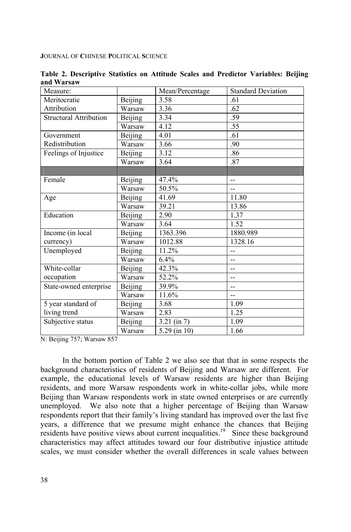| Measure:                      |                | Mean/Percentage | <b>Standard Deviation</b> |
|-------------------------------|----------------|-----------------|---------------------------|
| Meritocratic                  | Beijing        | 3.58            | .61                       |
| Attribution                   | Warsaw         | 3.36            | .62                       |
| <b>Structural Attribution</b> | <b>Beijing</b> | 3.34            | .59                       |
|                               | Warsaw         | 4.12            | .55                       |
| Government                    | Beijing        | 4.01            | .61                       |
| Redistribution                | Warsaw         | 3.66            | .90                       |
| Feelings of Injustice         | <b>Beijing</b> | 3.12            | .86                       |
|                               | Warsaw         | 3.64            | .87                       |
|                               |                |                 |                           |
| Female                        | Beijing        | 47.4%           | $\overline{\phantom{a}}$  |
|                               | Warsaw         | 50.5%           | $\overline{a}$            |
| Age                           | Beijing        | 41.69           | 11.80                     |
|                               | Warsaw         | 39.21           | 13.86                     |
| Education                     | Beijing        | 2.90            | 1.37                      |
|                               | Warsaw         | 3.64            | 1.52                      |
| Income (in local              | Beijing        | 1363.396        | 1880.989                  |
| currency)                     | Warsaw         | 1012.88         | 1328.16                   |
| Unemployed                    | Beijing        | 11.2%           | --                        |
|                               | Warsaw         | 6.4%            | $\overline{\phantom{a}}$  |
| White-collar                  | <b>Beijing</b> | 42.3%           | --                        |
| occupation                    | Warsaw         | 52.2%           | $-$                       |
| State-owned enterprise        | Beijing        | 39.9%           | $\overline{\phantom{a}}$  |
|                               | Warsaw         | 11.6%           | $\overline{a}$            |
| 5 year standard of            | <b>Beijing</b> | 3.68            | 1.09                      |
| living trend                  | Warsaw         | 2.83            | 1.25                      |
| Subjective status             | Beijing        | $3.21$ (in 7)   | 1.09                      |
|                               | Warsaw         | 5.29 (in 10)    | 1.66                      |

**Table 2. Descriptive Statistics on Attitude Scales and Predictor Variables: Beijing and Warsaw** 

N: Beijing 757; Warsaw 857

In the bottom portion of Table 2 we also see that that in some respects the background characteristics of residents of Beijing and Warsaw are different. For example, the educational levels of Warsaw residents are higher than Beijing residents, and more Warsaw respondents work in white-collar jobs, while more Beijing than Warsaw respondents work in state owned enterprises or are currently unemployed. We also note that a higher percentage of Beijing than Warsaw respondents report that their family's living standard has improved over the last five years, a difference that we presume might enhance the chances that Beijing residents have positive views about current inequalities.<sup>19</sup> Since these background characteristics may affect attitudes toward our four distributive injustice attitude scales, we must consider whether the overall differences in scale values between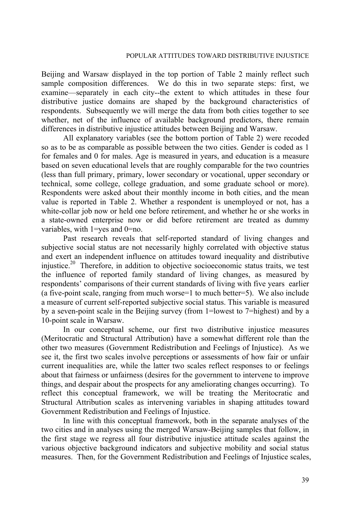Beijing and Warsaw displayed in the top portion of Table 2 mainly reflect such sample composition differences. We do this in two separate steps: first, we examine—separately in each city--the extent to which attitudes in these four distributive justice domains are shaped by the background characteristics of respondents. Subsequently we will merge the data from both cities together to see whether, net of the influence of available background predictors, there remain differences in distributive injustice attitudes between Beijing and Warsaw.

All explanatory variables (see the bottom portion of Table 2) were recoded so as to be as comparable as possible between the two cities. Gender is coded as 1 for females and 0 for males. Age is measured in years, and education is a measure based on seven educational levels that are roughly comparable for the two countries (less than full primary, primary, lower secondary or vocational, upper secondary or technical, some college, college graduation, and some graduate school or more). Respondents were asked about their monthly income in both cities, and the mean value is reported in Table 2. Whether a respondent is unemployed or not, has a white-collar job now or held one before retirement, and whether he or she works in a state-owned enterprise now or did before retirement are treated as dummy variables, with 1=yes and 0=no.

Past research reveals that self-reported standard of living changes and subjective social status are not necessarily highly correlated with objective status and exert an independent influence on attitudes toward inequality and distributive injustice.<sup>20</sup> Therefore, in addition to objective socioeconomic status traits, we test the influence of reported family standard of living changes, as measured by respondents' comparisons of their current standards of living with five years earlier (a five-point scale, ranging from much worse=1 to much better=5). We also include a measure of current self-reported subjective social status. This variable is measured by a seven-point scale in the Beijing survey (from 1=lowest to 7=highest) and by a 10-point scale in Warsaw.

In our conceptual scheme, our first two distributive injustice measures (Meritocratic and Structural Attribution) have a somewhat different role than the other two measures (Government Redistribution and Feelings of Injustice). As we see it, the first two scales involve perceptions or assessments of how fair or unfair current inequalities are, while the latter two scales reflect responses to or feelings about that fairness or unfairness (desires for the government to intervene to improve things, and despair about the prospects for any ameliorating changes occurring). To reflect this conceptual framework, we will be treating the Meritocratic and Structural Attribution scales as intervening variables in shaping attitudes toward Government Redistribution and Feelings of Injustice.

In line with this conceptual framework, both in the separate analyses of the two cities and in analyses using the merged Warsaw-Beijing samples that follow, in the first stage we regress all four distributive injustice attitude scales against the various objective background indicators and subjective mobility and social status measures. Then, for the Government Redistribution and Feelings of Injustice scales,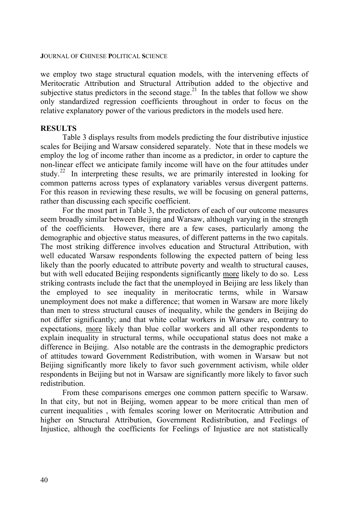we employ two stage structural equation models, with the intervening effects of Meritocratic Attribution and Structural Attribution added to the objective and subjective status predictors in the second stage.<sup>21</sup> In the tables that follow we show only standardized regression coefficients throughout in order to focus on the relative explanatory power of the various predictors in the models used here.

## **RESULTS**

Table 3 displays results from models predicting the four distributive injustice scales for Beijing and Warsaw considered separately. Note that in these models we employ the log of income rather than income as a predictor, in order to capture the non-linear effect we anticipate family income will have on the four attitudes under study.<sup>22</sup> In interpreting these results, we are primarily interested in looking for common patterns across types of explanatory variables versus divergent patterns. For this reason in reviewing these results, we will be focusing on general patterns, rather than discussing each specific coefficient.

For the most part in Table 3, the predictors of each of our outcome measures seem broadly similar between Beijing and Warsaw, although varying in the strength of the coefficients. However, there are a few cases, particularly among the demographic and objective status measures, of different patterns in the two capitals. The most striking difference involves education and Structural Attribution, with well educated Warsaw respondents following the expected pattern of being less likely than the poorly educated to attribute poverty and wealth to structural causes, but with well educated Beijing respondents significantly more likely to do so. Less striking contrasts include the fact that the unemployed in Beijing are less likely than the employed to see inequality in meritocratic terms, while in Warsaw unemployment does not make a difference; that women in Warsaw are more likely than men to stress structural causes of inequality, while the genders in Beijing do not differ significantly; and that white collar workers in Warsaw are, contrary to expectations, more likely than blue collar workers and all other respondents to explain inequality in structural terms, while occupational status does not make a difference in Beijing. Also notable are the contrasts in the demographic predictors of attitudes toward Government Redistribution, with women in Warsaw but not Beijing significantly more likely to favor such government activism, while older respondents in Beijing but not in Warsaw are significantly more likely to favor such redistribution.

From these comparisons emerges one common pattern specific to Warsaw. In that city, but not in Beijing, women appear to be more critical than men of current inequalities , with females scoring lower on Meritocratic Attribution and higher on Structural Attribution, Government Redistribution, and Feelings of Injustice, although the coefficients for Feelings of Injustice are not statistically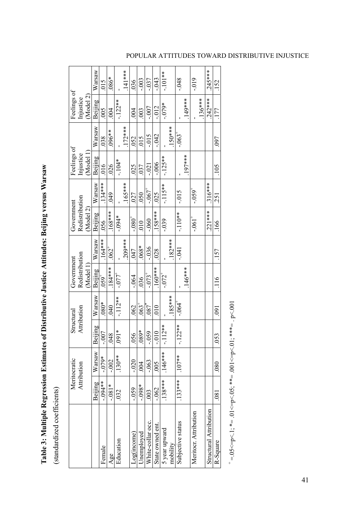|                        |               | Meritocratic | Structural |                     | Government          |            | Government           |                      | Feelings of |            | Feelings of      |           |
|------------------------|---------------|--------------|------------|---------------------|---------------------|------------|----------------------|----------------------|-------------|------------|------------------|-----------|
|                        |               | Attribution  |            | Attribution         | Redistribution      |            | Redistribution       |                      | Injustice   |            | Injustice        |           |
|                        |               |              |            |                     | Model 1             |            | Model 2)             |                      | Model 1     |            | (Model 2)        |           |
|                        | Beijing       | Warsaw       | Beijing    | Warsaw              | Beijing             | Warsaw     | Beijing              | Warsaw               | Beijing     | Warsaw     | Beijing          | Warsaw    |
| Female                 | $-0.094**$    | $-0.079*$    | $-007$     | $.080*$             | $.059$ <sup>+</sup> | $.164***$  | 056                  | 134***               | .016        | 038        | $\frac{005}{20}$ | 015       |
| Age                    | $-0.81*$      | $-002$       | 048        | 040                 | 184****             | $.062^{+}$ | $.168***$            | 049                  | .026        | $096**$    | 004              | $.086*$   |
| Education              | 032           | 130**        | $.091*$    | $-112**$            | $-0.07$             |            | $*80.5$              |                      | $-104*$     |            | $-122**$         |           |
|                        |               |              |            |                     |                     | 209***     |                      | 165***               |             | $172***$   |                  | $141***$  |
| Log(income)            | $-0.59$       | $-0.020$     | .056       | 062                 | $-064$              | .047       | $-080^\circ$         | 027                  | 025         | 052        | 004              | 036       |
| Unemployed             | $-0.08*$      | 004          | $.089*$    | $063$ <sup>-1</sup> | .036                | $.068*$    | 010                  | 050                  | 037         | 015        | 003              | $-0.003$  |
| White-collar occ.      | $\frac{3}{2}$ | $-063$       | $-0.059$   | 087                 | $-0.073$            | $-0.036$   | $-060$               | $-0.067$             | $-0.021$    | $-015$     | $-0.007$         | $-0.37$   |
| State owned ent.       | $-062$        | 800          | $-0.010$   | 010                 | $160***$            | 028        | 158***               | 025                  | $-006$      | $-042$     | $-012$           | $-043$    |
| 5 year upward          | $.138***$     | $.146***$    | $-112**$   |                     | $-0.072$            |            | $-0.39$              | $-115**$             | $-.125**$   |            | $*6L0$ -         | $-101**$  |
| mobility               |               |              |            | 185****             |                     | $182***$   |                      |                      |             | $150***$   |                  |           |
| Subjective status      | $.133***$     | $.107**$     | $-.122**$  | $-964$              |                     | $-14$      | $-110**$             | $-0.015$             |             | $-0.063$   |                  | $-048$    |
|                        |               |              |            |                     | $.146***$           |            |                      |                      | 197***      |            | 149***           |           |
| Meritocr. Attribution  |               |              |            |                     |                     |            | $-0.61$ <sup>+</sup> | $-0.59$ <sup>+</sup> |             |            |                  | $-0.019$  |
|                        |               |              |            |                     |                     |            |                      |                      |             |            | $136***$         |           |
| Structural Attribution |               |              |            |                     |                     |            | $.221***$            | $316***$             |             |            | $242***$         | $.245***$ |
| R-Square               | .081          | .080         | .053       | .091                | .116                | .157       | .166                 | 251                  | .105        | <b>L60</b> | .177             | .152      |
|                        |               |              |            |                     |                     |            |                      |                      |             |            |                  |           |

Table 3: Multiple Regression Estimates of Distributive Justice Attitudes: Beijing versus Warsaw **Table 3: Multiple Regression Estimates of Distributive Justice Attitudes: Beijing versus Warsaw**  (standardized coefficients) (standardized coefficients)

+ =.05<=p<.1; \*= .01<=p<.05; \*\*\*= .001<=p<.01; \*\*\*= . p<.001  $+ = 0.05 \le p \le 1$ ;  $* = 0.01 \le p \le 0.05$ ;  $* * = 0.001 \le p \le 0.01$ ;  $* * * = 0.001$ 

# POPULAR ATTITUDES TOWARD DISTRIBUTIVE INJUSTICE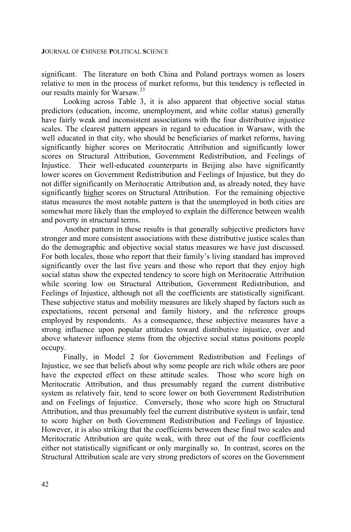significant. The literature on both China and Poland portrays women as losers relative to men in the process of market reforms, but this tendency is reflected in our results mainly for Warsaw.<sup>23</sup>

 Looking across Table 3, it is also apparent that objective social status predictors (education, income, unemployment, and white collar status) generally have fairly weak and inconsistent associations with the four distributive injustice scales. The clearest pattern appears in regard to education in Warsaw, with the well educated in that city, who should be beneficiaries of market reforms, having significantly higher scores on Meritocratic Attribution and significantly lower scores on Structural Attribution, Government Redistribution, and Feelings of Injustice. Their well-educated counterparts in Beijing also have significantly lower scores on Government Redistribution and Feelings of Injustice, but they do not differ significantly on Meritocratic Attribution and, as already noted, they have significantly higher scores on Structural Attribution. For the remaining objective status measures the most notable pattern is that the unemployed in both cities are somewhat more likely than the employed to explain the difference between wealth and poverty in structural terms.

 Another pattern in these results is that generally subjective predictors have stronger and more consistent associations with these distributive justice scales than do the demographic and objective social status measures we have just discussed. For both locales, those who report that their family's living standard has improved significantly over the last five years and those who report that they enjoy high social status show the expected tendency to score high on Meritocratic Attribution while scoring low on Structural Attribution, Government Redistribution, and Feelings of Injustice, although not all the coefficients are statistically significant. These subjective status and mobility measures are likely shaped by factors such as expectations, recent personal and family history, and the reference groups employed by respondents. As a consequence, these subjective measures have a strong influence upon popular attitudes toward distributive injustice, over and above whatever influence stems from the objective social status positions people occupy.

 Finally, in Model 2 for Government Redistribution and Feelings of Injustice, we see that beliefs about why some people are rich while others are poor have the expected effect on these attitude scales. Those who score high on Meritocratic Attribution, and thus presumably regard the current distributive system as relatively fair, tend to score lower on both Government Redistribution and on Feelings of Injustice. Conversely, those who score high on Structural Attribution, and thus presumably feel the current distributive system is unfair, tend to score higher on both Government Redistribution and Feelings of Injustice. However, it is also striking that the coefficients between these final two scales and Meritocratic Attribution are quite weak, with three out of the four coefficients either not statistically significant or only marginally so. In contrast, scores on the Structural Attribution scale are very strong predictors of scores on the Government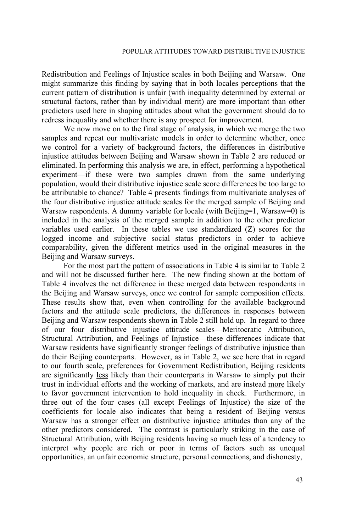Redistribution and Feelings of Injustice scales in both Beijing and Warsaw. One might summarize this finding by saying that in both locales perceptions that the current pattern of distribution is unfair (with inequality determined by external or structural factors, rather than by individual merit) are more important than other predictors used here in shaping attitudes about what the government should do to redress inequality and whether there is any prospect for improvement.

We now move on to the final stage of analysis, in which we merge the two samples and repeat our multivariate models in order to determine whether, once we control for a variety of background factors, the differences in distributive injustice attitudes between Beijing and Warsaw shown in Table 2 are reduced or eliminated. In performing this analysis we are, in effect, performing a hypothetical experiment—if these were two samples drawn from the same underlying population, would their distributive injustice scale score differences be too large to be attributable to chance? Table 4 presents findings from multivariate analyses of the four distributive injustice attitude scales for the merged sample of Beijing and Warsaw respondents. A dummy variable for locale (with Beijing=1, Warsaw=0) is included in the analysis of the merged sample in addition to the other predictor variables used earlier. In these tables we use standardized (Z) scores for the logged income and subjective social status predictors in order to achieve comparability, given the different metrics used in the original measures in the Beijing and Warsaw surveys.

For the most part the pattern of associations in Table 4 is similar to Table 2 and will not be discussed further here. The new finding shown at the bottom of Table 4 involves the net difference in these merged data between respondents in the Beijing and Warsaw surveys, once we control for sample composition effects. These results show that, even when controlling for the available background factors and the attitude scale predictors, the differences in responses between Beijing and Warsaw respondents shown in Table 2 still hold up. In regard to three of our four distributive injustice attitude scales—Meritocratic Attribution, Structural Attribution, and Feelings of Injustice—these differences indicate that Warsaw residents have significantly stronger feelings of distributive injustice than do their Beijing counterparts. However, as in Table 2, we see here that in regard to our fourth scale, preferences for Government Redistribution, Beijing residents are significantly less likely than their counterparts in Warsaw to simply put their trust in individual efforts and the working of markets, and are instead more likely to favor government intervention to hold inequality in check. Furthermore, in three out of the four cases (all except Feelings of Injustice) the size of the coefficients for locale also indicates that being a resident of Beijing versus Warsaw has a stronger effect on distributive injustice attitudes than any of the other predictors considered. The contrast is particularly striking in the case of Structural Attribution, with Beijing residents having so much less of a tendency to interpret why people are rich or poor in terms of factors such as unequal opportunities, an unfair economic structure, personal connections, and dishonesty,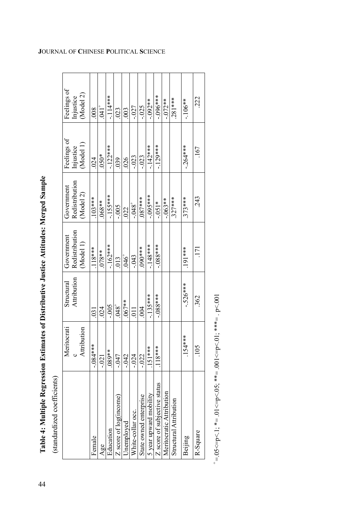| Feelings of<br>(Model 2)<br>Injustice<br>$-114***$<br>$-0.06***$<br>281 ***<br>$-0.092**$<br>$.072**$<br>$-106**$<br>$-1$<br>$-0.025$<br>$-0.027$<br>008<br>.023<br>.003 |
|--------------------------------------------------------------------------------------------------------------------------------------------------------------------------|
| 222                                                                                                                                                                      |
| $-264***$<br>$327***$<br>$.373***$                                                                                                                                       |
|                                                                                                                                                                          |
| $-129***$                                                                                                                                                                |
| $-142***$                                                                                                                                                                |
| $-0.023$                                                                                                                                                                 |
|                                                                                                                                                                          |
|                                                                                                                                                                          |
|                                                                                                                                                                          |
| $-122***$                                                                                                                                                                |
|                                                                                                                                                                          |
|                                                                                                                                                                          |
|                                                                                                                                                                          |
|                                                                                                                                                                          |
| Feelings of                                                                                                                                                              |

Table 4: Multiple Regression Estimates of Distributive Justice Attitudes: Merged Sample **Table 4: Multiple Regression Estimates of Distributive Justice Attitudes: Merged Sample**

 $= 05 \le p \le 1$ ; \*= .01 $\le p \le 05$ ; \*\*= .001 $\le p \le 01$ ; \*\*\*= . p<.001 + =.05<=p<.1; \*= .01<=p<.05; \*\*= .001<=p<.01; \*\*\*= . p<.001

# **J**OURNAL OF **C**HINESE **P**OLITICAL **S**CIENCE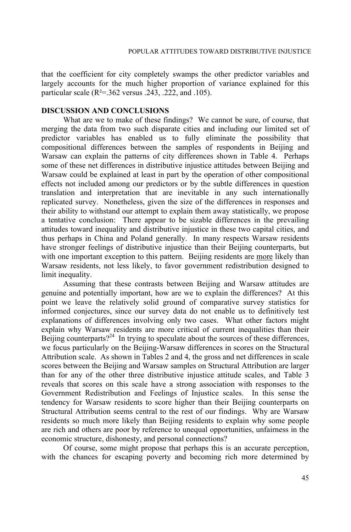that the coefficient for city completely swamps the other predictor variables and largely accounts for the much higher proportion of variance explained for this particular scale  $(R^2 = 362 \text{ versus } 0.243, 0.222, \text{ and } 0.105)$ .

## **DISCUSSION AND CONCLUSIONS**

 What are we to make of these findings? We cannot be sure, of course, that merging the data from two such disparate cities and including our limited set of predictor variables has enabled us to fully eliminate the possibility that compositional differences between the samples of respondents in Beijing and Warsaw can explain the patterns of city differences shown in Table 4. Perhaps some of these net differences in distributive injustice attitudes between Beijing and Warsaw could be explained at least in part by the operation of other compositional effects not included among our predictors or by the subtle differences in question translation and interpretation that are inevitable in any such internationally replicated survey. Nonetheless, given the size of the differences in responses and their ability to withstand our attempt to explain them away statistically, we propose a tentative conclusion: There appear to be sizable differences in the prevailing attitudes toward inequality and distributive injustice in these two capital cities, and thus perhaps in China and Poland generally. In many respects Warsaw residents have stronger feelings of distributive injustice than their Beijing counterparts, but with one important exception to this pattern. Beijing residents are more likely than Warsaw residents, not less likely, to favor government redistribution designed to limit inequality.

Assuming that these contrasts between Beijing and Warsaw attitudes are genuine and potentially important, how are we to explain the differences? At this point we leave the relatively solid ground of comparative survey statistics for informed conjectures, since our survey data do not enable us to definitively test explanations of differences involving only two cases. What other factors might explain why Warsaw residents are more critical of current inequalities than their Beijing counterparts?<sup>24</sup> In trying to speculate about the sources of these differences, we focus particularly on the Beijing-Warsaw differences in scores on the Structural Attribution scale. As shown in Tables 2 and 4, the gross and net differences in scale scores between the Beijing and Warsaw samples on Structural Attribution are larger than for any of the other three distributive injustice attitude scales, and Table 3 reveals that scores on this scale have a strong association with responses to the Government Redistribution and Feelings of Injustice scales. In this sense the tendency for Warsaw residents to score higher than their Beijing counterparts on Structural Attribution seems central to the rest of our findings. Why are Warsaw residents so much more likely than Beijing residents to explain why some people are rich and others are poor by reference to unequal opportunities, unfairness in the economic structure, dishonesty, and personal connections?

Of course, some might propose that perhaps this is an accurate perception, with the chances for escaping poverty and becoming rich more determined by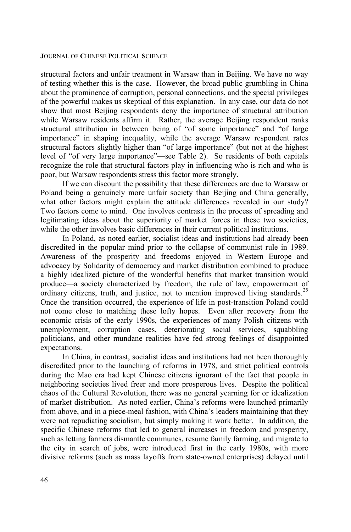structural factors and unfair treatment in Warsaw than in Beijing. We have no way of testing whether this is the case. However, the broad public grumbling in China about the prominence of corruption, personal connections, and the special privileges of the powerful makes us skeptical of this explanation. In any case, our data do not show that most Beijing respondents deny the importance of structural attribution while Warsaw residents affirm it. Rather, the average Beijing respondent ranks structural attribution in between being of "of some importance" and "of large importance" in shaping inequality, while the average Warsaw respondent rates structural factors slightly higher than "of large importance" (but not at the highest level of "of very large importance"—see Table 2). So residents of both capitals recognize the role that structural factors play in influencing who is rich and who is poor, but Warsaw respondents stress this factor more strongly.

 If we can discount the possibility that these differences are due to Warsaw or Poland being a genuinely more unfair society than Beijing and China generally, what other factors might explain the attitude differences revealed in our study? Two factors come to mind. One involves contrasts in the process of spreading and legitimating ideas about the superiority of market forces in these two societies, while the other involves basic differences in their current political institutions.

 In Poland, as noted earlier, socialist ideas and institutions had already been discredited in the popular mind prior to the collapse of communist rule in 1989. Awareness of the prosperity and freedoms enjoyed in Western Europe and advocacy by Solidarity of democracy and market distribution combined to produce a highly idealized picture of the wonderful benefits that market transition would produce—a society characterized by freedom, the rule of law, empowerment of ordinary citizens, truth, and justice, not to mention improved living standards.<sup>25</sup> Once the transition occurred, the experience of life in post-transition Poland could not come close to matching these lofty hopes. Even after recovery from the economic crisis of the early 1990s, the experiences of many Polish citizens with unemployment, corruption cases, deteriorating social services, squabbling politicians, and other mundane realities have fed strong feelings of disappointed expectations.

 In China, in contrast, socialist ideas and institutions had not been thoroughly discredited prior to the launching of reforms in 1978, and strict political controls during the Mao era had kept Chinese citizens ignorant of the fact that people in neighboring societies lived freer and more prosperous lives. Despite the political chaos of the Cultural Revolution, there was no general yearning for or idealization of market distribution. As noted earlier, China's reforms were launched primarily from above, and in a piece-meal fashion, with China's leaders maintaining that they were not repudiating socialism, but simply making it work better. In addition, the specific Chinese reforms that led to general increases in freedom and prosperity, such as letting farmers dismantle communes, resume family farming, and migrate to the city in search of jobs, were introduced first in the early 1980s, with more divisive reforms (such as mass layoffs from state-owned enterprises) delayed until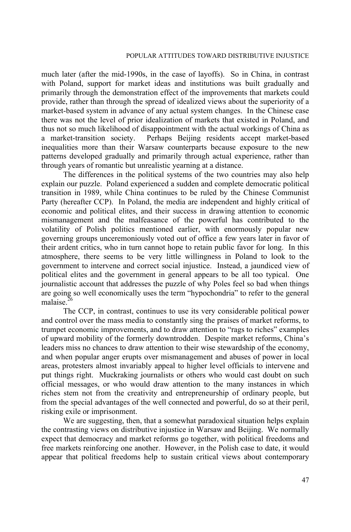much later (after the mid-1990s, in the case of layoffs). So in China, in contrast with Poland, support for market ideas and institutions was built gradually and primarily through the demonstration effect of the improvements that markets could provide, rather than through the spread of idealized views about the superiority of a market-based system in advance of any actual system changes. In the Chinese case there was not the level of prior idealization of markets that existed in Poland, and thus not so much likelihood of disappointment with the actual workings of China as<br>a market-transition society. Perhaps Beijing residents accept market-based Perhaps Beijing residents accept market-based inequalities more than their Warsaw counterparts because exposure to the new patterns developed gradually and primarily through actual experience, rather than through years of romantic but unrealistic yearning at a distance.

The differences in the political systems of the two countries may also help explain our puzzle. Poland experienced a sudden and complete democratic political transition in 1989, while China continues to be ruled by the Chinese Communist Party (hereafter CCP). In Poland, the media are independent and highly critical of economic and political elites, and their success in drawing attention to economic mismanagement and the malfeasance of the powerful has contributed to the volatility of Polish politics mentioned earlier, with enormously popular new governing groups unceremoniously voted out of office a few years later in favor of their ardent critics, who in turn cannot hope to retain public favor for long. In this atmosphere, there seems to be very little willingness in Poland to look to the government to intervene and correct social injustice. Instead, a jaundiced view of political elites and the government in general appears to be all too typical. One journalistic account that addresses the puzzle of why Poles feel so bad when things are going so well economically uses the term "hypochondria" to refer to the general malaise. $26$ 

The CCP, in contrast, continues to use its very considerable political power and control over the mass media to constantly sing the praises of market reforms, to trumpet economic improvements, and to draw attention to "rags to riches" examples of upward mobility of the formerly downtrodden. Despite market reforms, China's leaders miss no chances to draw attention to their wise stewardship of the economy, and when popular anger erupts over mismanagement and abuses of power in local areas, protesters almost invariably appeal to higher level officials to intervene and put things right. Muckraking journalists or others who would cast doubt on such official messages, or who would draw attention to the many instances in which riches stem not from the creativity and entrepreneurship of ordinary people, but from the special advantages of the well connected and powerful, do so at their peril, risking exile or imprisonment.

 We are suggesting, then, that a somewhat paradoxical situation helps explain the contrasting views on distributive injustice in Warsaw and Beijing. We normally expect that democracy and market reforms go together, with political freedoms and free markets reinforcing one another. However, in the Polish case to date, it would appear that political freedoms help to sustain critical views about contemporary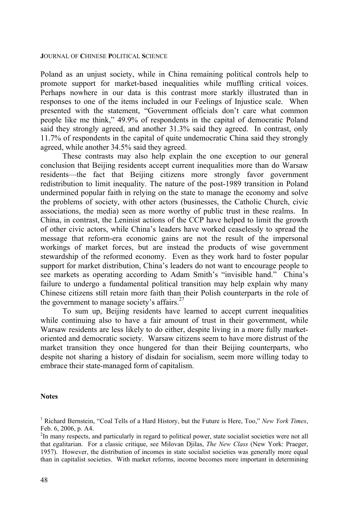Poland as an unjust society, while in China remaining political controls help to promote support for market-based inequalities while muffling critical voices. Perhaps nowhere in our data is this contrast more starkly illustrated than in responses to one of the items included in our Feelings of Injustice scale. When presented with the statement, "Government officials don't care what common people like me think," 49.9% of respondents in the capital of democratic Poland said they strongly agreed, and another 31.3% said they agreed. In contrast, only 11.7% of respondents in the capital of quite undemocratic China said they strongly agreed, while another 34.5% said they agreed.

These contrasts may also help explain the one exception to our general conclusion that Beijing residents accept current inequalities more than do Warsaw residents—the fact that Beijing citizens more strongly favor government redistribution to limit inequality. The nature of the post-1989 transition in Poland undermined popular faith in relying on the state to manage the economy and solve the problems of society, with other actors (businesses, the Catholic Church, civic associations, the media) seen as more worthy of public trust in these realms. In China, in contrast, the Leninist actions of the CCP have helped to limit the growth of other civic actors, while China's leaders have worked ceaselessly to spread the message that reform-era economic gains are not the result of the impersonal workings of market forces, but are instead the products of wise government stewardship of the reformed economy. Even as they work hard to foster popular support for market distribution, China's leaders do not want to encourage people to see markets as operating according to Adam Smith's "invisible hand." China's failure to undergo a fundamental political transition may help explain why many Chinese citizens still retain more faith than their Polish counterparts in the role of the government to manage society's affairs.<sup>27</sup>

To sum up, Beijing residents have learned to accept current inequalities while continuing also to have a fair amount of trust in their government, while Warsaw residents are less likely to do either, despite living in a more fully marketoriented and democratic society. Warsaw citizens seem to have more distrust of the market transition they once hungered for than their Beijing counterparts, who despite not sharing a history of disdain for socialism, seem more willing today to embrace their state-managed form of capitalism.

## **Notes**

<sup>&</sup>lt;sup>1</sup> Richard Bernstein, "Coal Tells of a Hard History, but the Future is Here, Too," New York Times, Feb. 6, 2006, p. A4.

<sup>&</sup>lt;sup>2</sup>In many respects, and particularly in regard to political power, state socialist societies were not all that egalitarian. For a classic critique, see Milovan Djilas, *The New Class* (New York: Praeger, 1957). However, the distribution of incomes in state socialist societies was generally more equal than in capitalist societies. With market reforms, income becomes more important in determining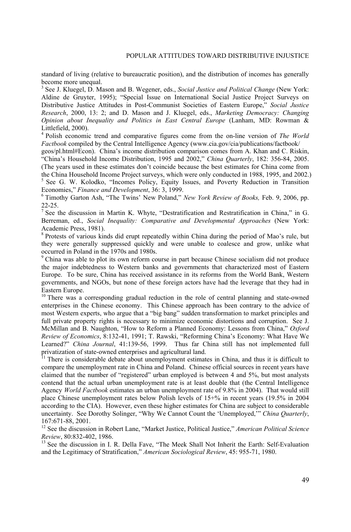standard of living (relative to bureaucratic position), and the distribution of incomes has generally become more unequal.

3 See J. Kluegel, D. Mason and B. Wegener, eds., *Social Justice and Political Change* (New York: Aldine de Gruyter, 1995); "Special Issue on International Social Justice Project Surveys on Distributive Justice Attitudes in Post-Communist Societies of Eastern Europe," *Social Justice Research*, 2000, 13: 2; and D. Mason and J. Kluegel, eds., *Marketing Democracy: Changing Opinion about Inequality and Politics in East Central Europe* (Lanham, MD: Rowman & Littlefield, 2000).

4 Polish economic trend and comparative figures come from the on-line version of *The World Factbook* compiled by the Central Intelligence Agency (www.cia.gov/cia/publications/factbook/

geos/pl.html#Econ). China's income distribution comparison comes from A. Khan and C. Riskin, "China's Household Income Distribution, 1995 and 2002," *China Quarterly*, 182: 356-84, 2005. (The years used in these estimates don't coincide because the best estimates for China come from the China Household Income Project surveys, which were only conducted in 1988, 1995, and 2002.) <sup>5</sup> See G. W. Kolodko, "Incomes Policy, Equity Issues, and Poverty Reduction in Transition Economies," Finance and Development, 36: 3, 1999.

 Timothy Garton Ash, "The Twins' New Poland," *New York Review of Books,* Feb. 9, 2006, pp. 22-25.

<sup>7</sup> See the discussion in Martin K. Whyte, "Destratification and Restratification in China," in G. Berreman, ed., *Social Inequality: Comparative and Developmental Approaches* (New York: Academic Press, 1981).

<sup>8</sup> Protests of various kinds did erupt repeatedly within China during the period of Mao's rule, but they were generally suppressed quickly and were unable to coalesce and grow, unlike what occurred in Poland in the 1970s and 1980s.

<sup>9</sup> China was able to plot its own reform course in part because Chinese socialism did not produce the major indebtedness to Western banks and governments that characterized most of Eastern Europe. To be sure, China has received assistance in its reforms from the World Bank, Western governments, and NGOs, but none of these foreign actors have had the leverage that they had in Eastern Europe.

<sup>10</sup> There was a corresponding gradual reduction in the role of central planning and state-owned enterprises in the Chinese economy. This Chinese approach has been contrary to the advice of most Western experts, who argue that a "big bang" sudden transformation to market principles and full private property rights is necessary to minimize economic distortions and corruption. See J. McMillan and B. Naughton, "How to Reform a Planned Economy: Lessons from China," *Oxford Review of Economics*, 8:132-41, 1991; T. Rawski, "Reforming China's Economy: What Have We Learned?" *China Journal*, 41:139-56, 1999. Thus far China still has not implemented full privatization of state-owned enterprises and agricultural land.

<sup>11</sup> There is considerable debate about unemployment estimates in China, and thus it is difficult to compare the unemployment rate in China and Poland. Chinese official sources in recent years have claimed that the number of "registered" urban employed is between 4 and 5%, but most analysts contend that the actual urban unemployment rate is at least double that (the Central Intelligence Agency *World Factbook* estimates an urban unemployment rate of 9.8% in 2004). That would still place Chinese unemployment rates below Polish levels of 15+% in recent years (19.5% in 2004 according to the CIA). However, even these higher estimates for China are subject to considerable uncertainty. See Dorothy Solinger, "Why We Cannot Count the 'Unemployed,'" *China Quarterly*, 167:671-88, 2001.

12 See the discussion in Robert Lane, "Market Justice, Political Justice," *American Political Science Review*, 80:832-402, 1986.<br><sup>13</sup> See the discussion in I. R. Della Fave, "The Meek Shall Not Inherit the Earth: Self-Evaluation

and the Legitimacy of Stratification," *American Sociological Review*, 45: 955-71, 1980.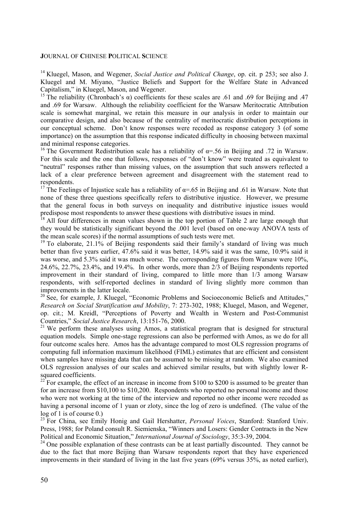14 Kluegel, Mason, and Wegener, *Social Justice and Political Change*, op. cit. p 253; see also J. Kluegel and M. Miyano, "Justice Beliefs and Support for the Welfare State in Advanced Capitalism," in Kluegel, Mason, and Wegener.

<sup>15</sup> The reliability (Chronbach's  $\alpha$ ) coefficients for these scales are .61 and .69 for Beijing and .47 and .69 for Warsaw. Although the reliability coefficient for the Warsaw Meritocratic Attribution scale is somewhat marginal, we retain this measure in our analysis in order to maintain our comparative design, and also because of the centrality of meritocratic distribution perceptions in our conceptual scheme. Don't know responses were recoded as response category 3 (of some importance) on the assumption that this response indicated difficulty in choosing between maximal and minimal response categories.

<sup>16</sup> The Government Redistribution scale has a reliability of  $\alpha$ =.56 in Beijing and .72 in Warsaw. For this scale and the one that follows, responses of "don't know" were treated as equivalent to "neutral" responses rather than missing values, on the assumption that such answers reflected a lack of a clear preference between agreement and disagreement with the statement read to respondents.

<sup>17</sup> The Feelings of Injustice scale has a reliability of  $\alpha$ =.65 in Beijing and .61 in Warsaw. Note that none of these three questions specifically refers to distributive injustice. However, we presume that the general focus in both surveys on inequality and distributive injustice issues would predispose most respondents to answer these questions with distributive issues in mind.

18 All four differences in mean values shown in the top portion of Table 2 are large enough that they would be statistically significant beyond the .001 level (based on one-way ANOVA tests of the mean scale scores) if the normal assumptions of such tests were met.

 $19$  To elaborate, 21.1% of Beijing respondents said their family's standard of living was much better than five years earlier, 47.6% said it was better, 14.9% said it was the same, 10.9% said it was worse, and 5.3% said it was much worse. The corresponding figures from Warsaw were 10%, 24.6%, 22.7%, 23.4%, and 19.4%. In other words, more than 2/3 of Beijing respondents reported improvement in their standard of living, compared to little more than 1/3 among Warsaw respondents, with self-reported declines in standard of living slightly more common than improvements in the latter locale.

<sup>20</sup> See, for example, J. Kluegel, "Economic Problems and Socioeconomic Beliefs and Attitudes," *Research on Social Stratification and Mobility*, 7: 273-302, 1988; Kluegel, Mason, and Wegener, op. cit.; M. Kreidl, "Perceptions of Poverty and Wealth in Western and Post-Communist Countries," *Social Justice Research*, 13:151-76, 2000. 21 We perform these analyses using Amos, a statistical program that is designed for structural

equation models. Simple one-stage regressions can also be performed with Amos, as we do for all four outcome scales here. Amos has the advantage compared to most OLS regression programs of computing full information maximum likelihood (FIML) estimates that are efficient and consistent when samples have missing data that can be assumed to be missing at random. We also examined OLS regression analyses of our scales and achieved similar results, but with slightly lower Rsquared coefficients.

 $22^{22}$  For example, the effect of an increase in income from \$100 to \$200 is assumed to be greater than for an increase from \$10,100 to \$10,200. Respondents who reported no personal income and those who were not working at the time of the interview and reported no other income were recoded as having a personal income of 1 yuan or zloty, since the log of zero is undefined. (The value of the log of 1 is of course 0.)

23 For China, see Emily Honig and Gail Hershatter, *Personal Voices*, Stanford: Stanford Univ. Press, 1988; for Poland consult R. Siemienska, "Winners and Losers: Gender Contracts in the New Political and Economic Situation," International Journal of Sociology, 35:3-39, 2004.

<sup>24</sup> One possible explanation of these contrasts can be at least partially discounted. They cannot be due to the fact that more Beijing than Warsaw respondents report that they have experienced improvements in their standard of living in the last five years (69% versus 35%, as noted earlier),